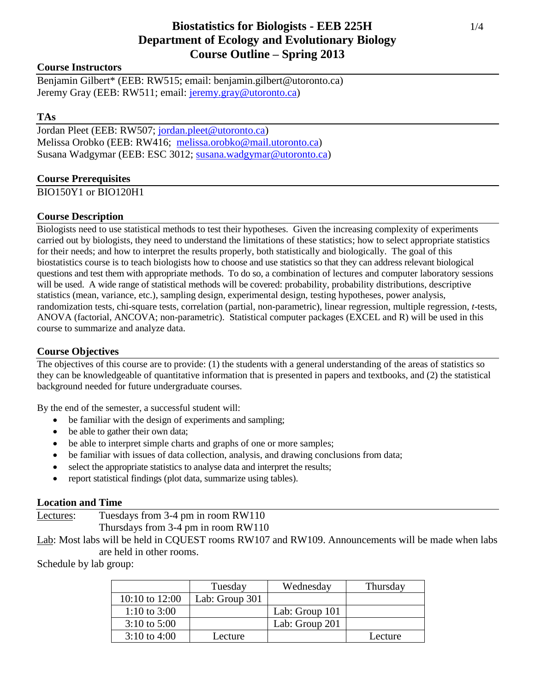# **Biostatistics for Biologists - EEB 225H** 1/4 **Department of Ecology and Evolutionary Biology Course Outline – Spring 2013**

### **Course Instructors**

Benjamin Gilbert\* (EEB: RW515; email: benjamin.gilbert@utoronto.ca) Jeremy Gray (EEB: RW511; email: *jeremy.gray@utoronto.ca*)

### **TAs**

Jordan Pleet (EEB: RW507; [jordan.pleet@utoronto.ca\)](mailto:jordan.pleet@utoronto.ca) Melissa Orobko (EEB: RW416; [melissa.orobko@mail.utoronto.ca\)](mailto:melissa.orobko@mail.utoronto.ca) Susana Wadgymar (EEB: ESC 3012; [susana.wadgymar@utoronto.ca\)](mailto:susana.wadgymar@utoronto.ca)

### **Course Prerequisites**

BIO150Y1 or BIO120H1

### **Course Description**

Biologists need to use statistical methods to test their hypotheses. Given the increasing complexity of experiments carried out by biologists, they need to understand the limitations of these statistics; how to select appropriate statistics for their needs; and how to interpret the results properly, both statistically and biologically. The goal of this biostatistics course is to teach biologists how to choose and use statistics so that they can address relevant biological questions and test them with appropriate methods. To do so, a combination of lectures and computer laboratory sessions will be used. A wide range of statistical methods will be covered: probability, probability distributions, descriptive statistics (mean, variance, etc.), sampling design, experimental design, testing hypotheses, power analysis, randomization tests, chi-square tests, correlation (partial, non-parametric), linear regression, multiple regression, *t*-tests, ANOVA (factorial, ANCOVA; non-parametric). Statistical computer packages (EXCEL and R) will be used in this course to summarize and analyze data.

### **Course Objectives**

The objectives of this course are to provide: (1) the students with a general understanding of the areas of statistics so they can be knowledgeable of quantitative information that is presented in papers and textbooks, and (2) the statistical background needed for future undergraduate courses.

By the end of the semester, a successful student will:

- be familiar with the design of experiments and sampling;
- be able to gather their own data;
- be able to interpret simple charts and graphs of one or more samples;
- be familiar with issues of data collection, analysis, and drawing conclusions from data;
- select the appropriate statistics to analyse data and interpret the results;
- report statistical findings (plot data, summarize using tables).

#### **Location and Time**

Lectures: Tuesdays from 3-4 pm in room RW110 Thursdays from 3-4 pm in room RW110

Lab: Most labs will be held in CQUEST rooms RW107 and RW109. Announcements will be made when labs are held in other rooms.

Schedule by lab group:

|                    | Tuesday        | Wednesday      | Thursday |
|--------------------|----------------|----------------|----------|
| $10:10$ to $12:00$ | Lab: Group 301 |                |          |
| 1:10 to 3:00       |                | Lab: Group 101 |          |
| $3:10$ to $5:00$   |                | Lab: Group 201 |          |
| $3:10$ to 4:00     | Lecture        |                | Lecture  |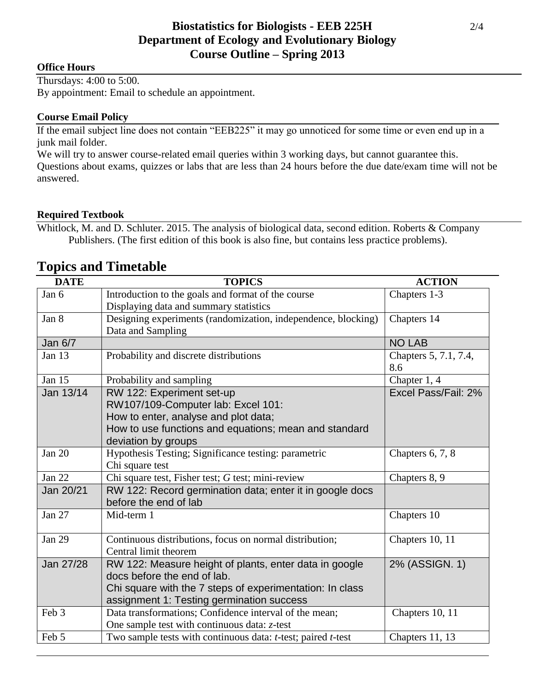## **Office Hours**

Thursdays: 4:00 to 5:00. By appointment: Email to schedule an appointment.

## **Course Email Policy**

If the email subject line does not contain "EEB225" it may go unnoticed for some time or even end up in a junk mail folder.

We will try to answer course-related email queries within 3 working days, but cannot guarantee this. Questions about exams, quizzes or labs that are less than 24 hours before the due date/exam time will not be answered.

## **Required Textbook**

Whitlock, M. and D. Schluter. 2015. The analysis of biological data, second edition. Roberts & Company Publishers. (The first edition of this book is also fine, but contains less practice problems).

| <b>DATE</b>   | <b>TOPICS</b>                                                 | <b>ACTION</b>         |
|---------------|---------------------------------------------------------------|-----------------------|
| Jan 6         | Introduction to the goals and format of the course            | Chapters 1-3          |
|               | Displaying data and summary statistics                        |                       |
| Jan 8         | Designing experiments (randomization, independence, blocking) | Chapters 14           |
|               | Data and Sampling                                             |                       |
| Jan 6/7       |                                                               | <b>NO LAB</b>         |
| Jan 13        | Probability and discrete distributions                        | Chapters 5, 7.1, 7.4, |
|               |                                                               | 8.6                   |
| Jan 15        | Probability and sampling                                      | Chapter 1, 4          |
| Jan 13/14     | RW 122: Experiment set-up                                     | Excel Pass/Fail: 2%   |
|               | RW107/109-Computer lab: Excel 101:                            |                       |
|               | How to enter, analyse and plot data;                          |                       |
|               | How to use functions and equations; mean and standard         |                       |
|               | deviation by groups                                           |                       |
| Jan $20$      | Hypothesis Testing; Significance testing: parametric          | Chapters $6, 7, 8$    |
|               | Chi square test                                               |                       |
| <b>Jan 22</b> | Chi square test, Fisher test; G test; mini-review             | Chapters 8, 9         |
| Jan 20/21     | RW 122: Record germination data; enter it in google docs      |                       |
|               | before the end of lab                                         |                       |
| Jan 27        | Mid-term 1                                                    | Chapters 10           |
|               |                                                               |                       |
| <b>Jan 29</b> | Continuous distributions, focus on normal distribution;       | Chapters 10, 11       |
|               | Central limit theorem                                         |                       |
| Jan 27/28     | RW 122: Measure height of plants, enter data in google        | 2% (ASSIGN. 1)        |
|               | docs before the end of lab.                                   |                       |
|               | Chi square with the 7 steps of experimentation: In class      |                       |
|               | assignment 1: Testing germination success                     |                       |
| Feb 3         | Data transformations; Confidence interval of the mean;        | Chapters 10, 11       |
|               | One sample test with continuous data: $z$ -test               |                       |
| Feb 5         | Two sample tests with continuous data: t-test; paired t-test  | Chapters 11, 13       |

# **Topics and Timetable**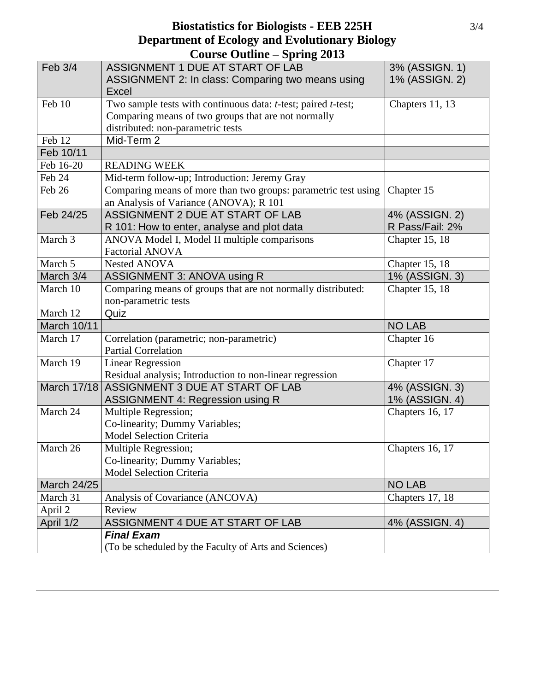# **Biostatistics for Biologists - EEB 225H** 3/4 **Department of Ecology and Evolutionary Biology Course Outline – Spring 2013**

| Feb 3/4            | ASSIGNMENT 1 DUE AT START OF LAB<br>ASSIGNMENT 2: In class: Comparing two means using<br>Excel                                                            | 3% (ASSIGN. 1)<br>1% (ASSIGN. 2)  |
|--------------------|-----------------------------------------------------------------------------------------------------------------------------------------------------------|-----------------------------------|
| Feb 10             | Two sample tests with continuous data: t-test; paired t-test;<br>Comparing means of two groups that are not normally<br>distributed: non-parametric tests | Chapters 11, 13                   |
| Feb 12             | Mid-Term 2                                                                                                                                                |                                   |
| Feb 10/11          |                                                                                                                                                           |                                   |
| Feb 16-20          | <b>READING WEEK</b>                                                                                                                                       |                                   |
| Feb 24             | Mid-term follow-up; Introduction: Jeremy Gray                                                                                                             |                                   |
| Feb 26             | Comparing means of more than two groups: parametric test using<br>an Analysis of Variance (ANOVA); R 101                                                  | Chapter 15                        |
| Feb 24/25          | ASSIGNMENT 2 DUE AT START OF LAB<br>R 101: How to enter, analyse and plot data                                                                            | 4% (ASSIGN. 2)<br>R Pass/Fail: 2% |
| March 3            | ANOVA Model I, Model II multiple comparisons<br><b>Factorial ANOVA</b>                                                                                    | Chapter 15, 18                    |
| March 5            | Nested ANOVA                                                                                                                                              | Chapter 15, 18                    |
| March 3/4          | ASSIGNMENT 3: ANOVA using R                                                                                                                               | 1% (ASSIGN. 3)                    |
| March 10           | Comparing means of groups that are not normally distributed:<br>non-parametric tests                                                                      | Chapter 15, 18                    |
| March 12           | Quiz                                                                                                                                                      |                                   |
| March 10/11        |                                                                                                                                                           | <b>NO LAB</b>                     |
| March 17           | Correlation (parametric; non-parametric)<br><b>Partial Correlation</b>                                                                                    | Chapter 16                        |
| March 19           | <b>Linear Regression</b><br>Residual analysis; Introduction to non-linear regression                                                                      | Chapter 17                        |
| <b>March 17/18</b> | ASSIGNMENT 3 DUE AT START OF LAB<br><b>ASSIGNMENT 4: Regression using R</b>                                                                               | 4% (ASSIGN. 3)<br>1% (ASSIGN. 4)  |
| March 24           | Multiple Regression;<br>Co-linearity; Dummy Variables;<br>Model Selection Criteria                                                                        | Chapters 16, 17                   |
| March 26           | Multiple Regression;<br>Co-linearity; Dummy Variables;<br><b>Model Selection Criteria</b>                                                                 | Chapters 16, 17                   |
| <b>March 24/25</b> |                                                                                                                                                           | <b>NO LAB</b>                     |
| March 31           | Analysis of Covariance (ANCOVA)                                                                                                                           | Chapters 17, 18                   |
| April 2            | Review                                                                                                                                                    |                                   |
| April 1/2          | ASSIGNMENT 4 DUE AT START OF LAB                                                                                                                          | 4% (ASSIGN. 4)                    |
|                    | <b>Final Exam</b><br>(To be scheduled by the Faculty of Arts and Sciences)                                                                                |                                   |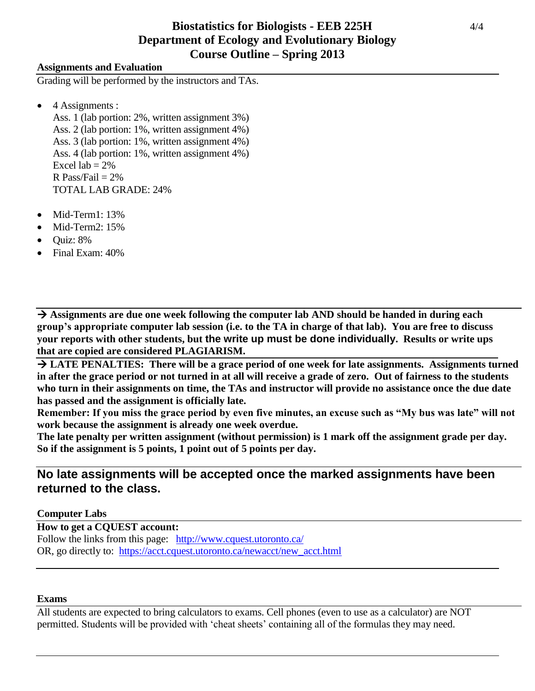# **Biostatistics for Biologists - EEB 225H** 4/4 **Department of Ecology and Evolutionary Biology Course Outline – Spring 2013**

### **Assignments and Evaluation**

Grading will be performed by the instructors and TAs.

 $\bullet$  4 Assignments :

Ass. 1 (lab portion: 2%, written assignment 3%) Ass. 2 (lab portion: 1%, written assignment 4%) Ass. 3 (lab portion: 1%, written assignment 4%) Ass. 4 (lab portion: 1%, written assignment 4%) Excel  $lab = 2\%$ R Pass/Fail  $= 2\%$ TOTAL LAB GRADE: 24%

- $Mid-Term1:13%$
- Mid-Term2: 15%
- $\bullet$  Quiz: 8%
- Final Exam: 40%

 **Assignments are due one week following the computer lab AND should be handed in during each group's appropriate computer lab session (i.e. to the TA in charge of that lab). You are free to discuss your reports with other students, but the write up must be done individually. Results or write ups that are copied are considered PLAGIARISM.**

 **LATE PENALTIES: There will be a grace period of one week for late assignments. Assignments turned in after the grace period or not turned in at all will receive a grade of zero. Out of fairness to the students who turn in their assignments on time, the TAs and instructor will provide no assistance once the due date has passed and the assignment is officially late.**

**Remember: If you miss the grace period by even five minutes, an excuse such as "My bus was late" will not work because the assignment is already one week overdue.**

**The late penalty per written assignment (without permission) is 1 mark off the assignment grade per day. So if the assignment is 5 points, 1 point out of 5 points per day.**

# **No late assignments will be accepted once the marked assignments have been returned to the class.**

### **Computer Labs**

**How to get a CQUEST account:** Follow the links from this page: <http://www.cquest.utoronto.ca/> OR, go directly to: [https://acct.cquest.utoronto.ca/newacct/new\\_acct.html](https://acct.cquest.utoronto.ca/newacct/new_acct.html)

#### **Exams**

All students are expected to bring calculators to exams. Cell phones (even to use as a calculator) are NOT permitted. Students will be provided with 'cheat sheets' containing all of the formulas they may need.